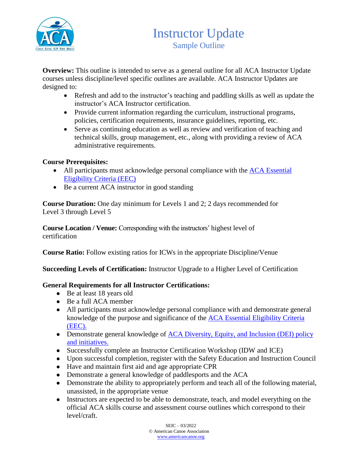

**Overview:** This outline is intended to serve as a general outline for all ACA Instructor Update courses unless discipline/level specific outlines are available. ACA Instructor Updates are designed to:

- Refresh and add to the instructor's teaching and paddling skills as well as update the instructor's ACA Instructor certification.
- Provide current information regarding the curriculum, instructional programs, policies, certification requirements, insurance guidelines, reporting, etc.
- Serve as continuing education as well as review and verification of teaching and technical skills, group management, etc., along with providing a review of ACA administrative requirements.

## **Course Prerequisites:**

- All participants must acknowledge personal compliance with the ACA Essential [Eligibility Criteria \(EEC\)](https://americancanoe.org/essential-eligibility-criteria/)
- Be a current ACA instructor in good standing

**Course Duration:** One day minimum for Levels 1 and 2; 2 days recommended for Level 3 through Level 5

**Course Location / Venue:** Corresponding with the instructors' highest level of certification

**Course Ratio:** Follow existing ratios for ICWs in the appropriate Discipline/Venue

**Succeeding Levels of Certification:** Instructor Upgrade to a Higher Level of Certification

#### **General Requirements for all Instructor Certifications:**

- Be at least 18 years old
- Be a full ACA member
- All participants must acknowledge personal compliance with and demonstrate general knowledge of the purpose and significance of the [ACA Essential Eligibility Criteria](https://americancanoe.org/essential-eligibility-criteria/)  [\(EEC\).](https://americancanoe.org/essential-eligibility-criteria/)
- Demonstrate general knowledge of ACA Diversity, Equity, and Inclusion (DEI) policy [and initiatives.](https://americancanoe.org/dei/)
- Successfully complete an Instructor Certification Workshop (IDW and ICE)
- Upon successful completion, register with the Safety Education and Instruction Council
- Have and maintain first aid and age appropriate CPR
- Demonstrate a general knowledge of paddlesports and the ACA
- Demonstrate the ability to appropriately perform and teach all of the following material, unassisted, in the appropriate venue
- Instructors are expected to be able to demonstrate, teach, and model everything on the official ACA skills course and assessment course outlines which correspond to their level/craft.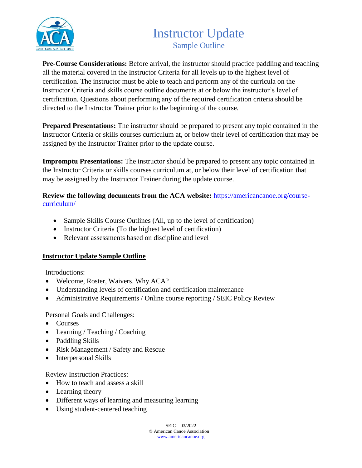

# Instructor Update Sample Outline

**Pre-Course Considerations:** Before arrival, the instructor should practice paddling and teaching all the material covered in the Instructor Criteria for all levels up to the highest level of certification. The instructor must be able to teach and perform any of the curricula on the Instructor Criteria and skills course outline documents at or below the instructor's level of certification. Questions about performing any of the required certification criteria should be directed to the Instructor Trainer prior to the beginning of the course.

**Prepared Presentations:** The instructor should be prepared to present any topic contained in the Instructor Criteria or skills courses curriculum at, or below their level of certification that may be assigned by the Instructor Trainer prior to the update course.

**Impromptu Presentations:** The instructor should be prepared to present any topic contained in the Instructor Criteria or skills courses curriculum at, or below their level of certification that may be assigned by the Instructor Trainer during the update course.

**Review the following documents from the ACA website:** [https://americancanoe.org/course](https://americancanoe.org/course-curriculum/)[curriculum/](https://americancanoe.org/course-curriculum/)

- Sample Skills Course Outlines (All, up to the level of certification)
- Instructor Criteria (To the highest level of certification)
- Relevant assessments based on discipline and level

#### **Instructor Update Sample Outline**

Introductions:

- Welcome, Roster, Waivers. Why ACA?
- Understanding levels of certification and certification maintenance
- Administrative Requirements / Online course reporting / SEIC Policy Review

#### Personal Goals and Challenges:

- Courses
- Learning / Teaching / Coaching
- Paddling Skills
- Risk Management / Safety and Rescue
- Interpersonal Skills

Review Instruction Practices:

- How to teach and assess a skill
- Learning theory
- Different ways of learning and measuring learning
- Using student-centered teaching

 $SEIC = 03/2022$ 

© American Canoe Association [www.americancanoe.org](http://www.americancanoe.org/)